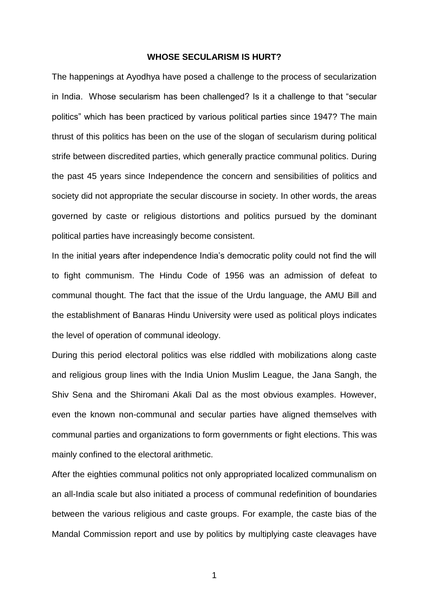## **WHOSE SECULARISM IS HURT?**

The happenings at Ayodhya have posed a challenge to the process of secularization in India. Whose secularism has been challenged? Is it a challenge to that "secular politics" which has been practiced by various political parties since 1947? The main thrust of this politics has been on the use of the slogan of secularism during political strife between discredited parties, which generally practice communal politics. During the past 45 years since Independence the concern and sensibilities of politics and society did not appropriate the secular discourse in society. In other words, the areas governed by caste or religious distortions and politics pursued by the dominant political parties have increasingly become consistent.

In the initial years after independence India's democratic polity could not find the will to fight communism. The Hindu Code of 1956 was an admission of defeat to communal thought. The fact that the issue of the Urdu language, the AMU Bill and the establishment of Banaras Hindu University were used as political ploys indicates the level of operation of communal ideology.

During this period electoral politics was else riddled with mobilizations along caste and religious group lines with the India Union Muslim League, the Jana Sangh, the Shiv Sena and the Shiromani Akali Dal as the most obvious examples. However, even the known non-communal and secular parties have aligned themselves with communal parties and organizations to form governments or fight elections. This was mainly confined to the electoral arithmetic.

After the eighties communal politics not only appropriated localized communalism on an all-India scale but also initiated a process of communal redefinition of boundaries between the various religious and caste groups. For example, the caste bias of the Mandal Commission report and use by politics by multiplying caste cleavages have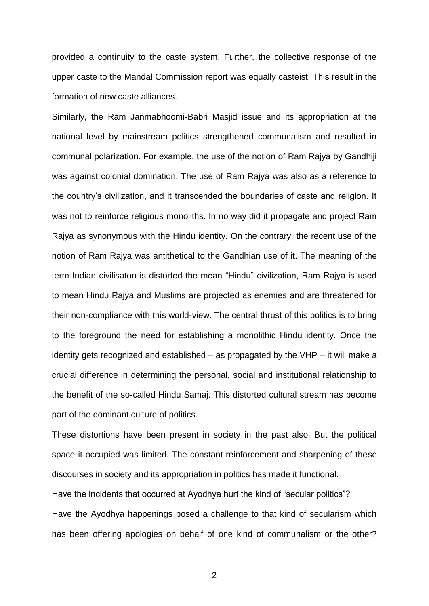provided a continuity to the caste system. Further, the collective response of the upper caste to the Mandal Commission report was equally casteist. This result in the formation of new caste alliances.

Similarly, the Ram Janmabhoomi-Babri Masjid issue and its appropriation at the national level by mainstream politics strengthened communalism and resulted in communal polarization. For example, the use of the notion of Ram Rajya by Gandhiji was against colonial domination. The use of Ram Rajya was also as a reference to the country's civilization, and it transcended the boundaries of caste and religion. It was not to reinforce religious monoliths. In no way did it propagate and project Ram Rajya as synonymous with the Hindu identity. On the contrary, the recent use of the notion of Ram Rajya was antithetical to the Gandhian use of it. The meaning of the term Indian civilisaton is distorted the mean "Hindu" civilization, Ram Rajya is used to mean Hindu Rajya and Muslims are projected as enemies and are threatened for their non-compliance with this world-view. The central thrust of this politics is to bring to the foreground the need for establishing a monolithic Hindu identity. Once the identity gets recognized and established – as propagated by the VHP – it will make a crucial difference in determining the personal, social and institutional relationship to the benefit of the so-called Hindu Samaj. This distorted cultural stream has become part of the dominant culture of politics.

These distortions have been present in society in the past also. But the political space it occupied was limited. The constant reinforcement and sharpening of these discourses in society and its appropriation in politics has made it functional. Have the incidents that occurred at Ayodhya hurt the kind of "secular politics"? Have the Ayodhya happenings posed a challenge to that kind of secularism which has been offering apologies on behalf of one kind of communalism or the other?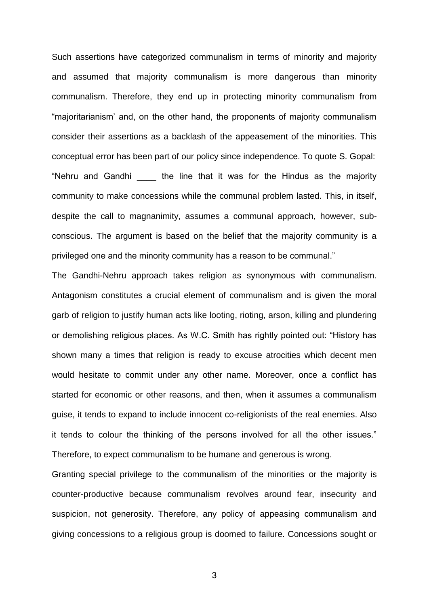Such assertions have categorized communalism in terms of minority and majority and assumed that majority communalism is more dangerous than minority communalism. Therefore, they end up in protecting minority communalism from "majoritarianism' and, on the other hand, the proponents of majority communalism consider their assertions as a backlash of the appeasement of the minorities. This conceptual error has been part of our policy since independence. To quote S. Gopal: "Nehru and Gandhi the line that it was for the Hindus as the majority community to make concessions while the communal problem lasted. This, in itself, despite the call to magnanimity, assumes a communal approach, however, subconscious. The argument is based on the belief that the majority community is a privileged one and the minority community has a reason to be communal."

The Gandhi-Nehru approach takes religion as synonymous with communalism. Antagonism constitutes a crucial element of communalism and is given the moral garb of religion to justify human acts like looting, rioting, arson, killing and plundering or demolishing religious places. As W.C. Smith has rightly pointed out: "History has shown many a times that religion is ready to excuse atrocities which decent men would hesitate to commit under any other name. Moreover, once a conflict has started for economic or other reasons, and then, when it assumes a communalism guise, it tends to expand to include innocent co-religionists of the real enemies. Also it tends to colour the thinking of the persons involved for all the other issues." Therefore, to expect communalism to be humane and generous is wrong.

Granting special privilege to the communalism of the minorities or the majority is counter-productive because communalism revolves around fear, insecurity and suspicion, not generosity. Therefore, any policy of appeasing communalism and giving concessions to a religious group is doomed to failure. Concessions sought or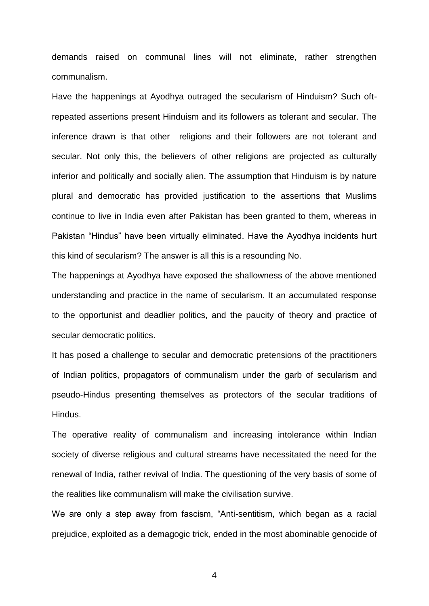demands raised on communal lines will not eliminate, rather strengthen communalism.

Have the happenings at Ayodhya outraged the secularism of Hinduism? Such oftrepeated assertions present Hinduism and its followers as tolerant and secular. The inference drawn is that other religions and their followers are not tolerant and secular. Not only this, the believers of other religions are projected as culturally inferior and politically and socially alien. The assumption that Hinduism is by nature plural and democratic has provided justification to the assertions that Muslims continue to live in India even after Pakistan has been granted to them, whereas in Pakistan "Hindus" have been virtually eliminated. Have the Ayodhya incidents hurt this kind of secularism? The answer is all this is a resounding No.

The happenings at Ayodhya have exposed the shallowness of the above mentioned understanding and practice in the name of secularism. It an accumulated response to the opportunist and deadlier politics, and the paucity of theory and practice of secular democratic politics.

It has posed a challenge to secular and democratic pretensions of the practitioners of Indian politics, propagators of communalism under the garb of secularism and pseudo-Hindus presenting themselves as protectors of the secular traditions of Hindus.

The operative reality of communalism and increasing intolerance within Indian society of diverse religious and cultural streams have necessitated the need for the renewal of India, rather revival of India. The questioning of the very basis of some of the realities like communalism will make the civilisation survive.

We are only a step away from fascism, "Anti-sentitism, which began as a racial prejudice, exploited as a demagogic trick, ended in the most abominable genocide of